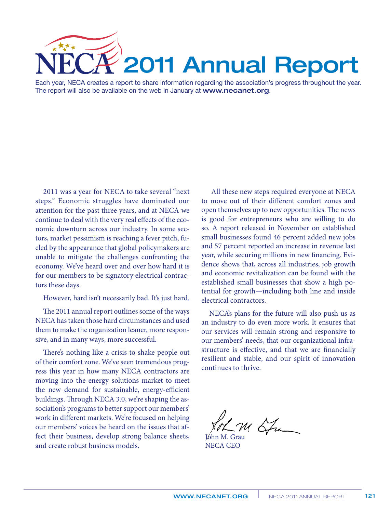

Each year, NECA creates a report to share information regarding the association's progress throughout the year. The report will also be available on the web in January at www.necanet.org.

2011 was a year for NECA to take several "next steps." Economic struggles have dominated our attention for the past three years, and at NECA we continue to deal with the very real effects of the economic downturn across our industry. In some sectors, market pessimism is reaching a fever pitch, fueled by the appearance that global policymakers are unable to mitigate the challenges confronting the economy. We've heard over and over how hard it is for our members to be signatory electrical contractors these days.

However, hard isn't necessarily bad. It's just hard.

The 2011 annual report outlines some of the ways NECA has taken those hard circumstances and used them to make the organization leaner, more responsive, and in many ways, more successful.

There's nothing like a crisis to shake people out of their comfort zone. We've seen tremendous progress this year in how many NECA contractors are moving into the energy solutions market to meet the new demand for sustainable, energy-efficient buildings. Through NECA 3.0, we're shaping the association's programs to better support our members' work in different markets. We're focused on helping our members' voices be heard on the issues that affect their business, develop strong balance sheets, and create robust business models.

 All these new steps required everyone at NECA to move out of their different comfort zones and open themselves up to new opportunities. The news is good for entrepreneurs who are willing to do so. A report released in November on established small businesses found 46 percent added new jobs and 57 percent reported an increase in revenue last year, while securing millions in new financing. Evidence shows that, across all industries, job growth and economic revitalization can be found with the established small businesses that show a high potential for growth—including both line and inside electrical contractors.

NECA's plans for the future will also push us as an industry to do even more work. It ensures that our services will remain strong and responsive to our members' needs, that our organizational infrastructure is effective, and that we are financially resilient and stable, and our spirit of innovation continues to thrive.

 $122$ John M. Grau

NECA CEO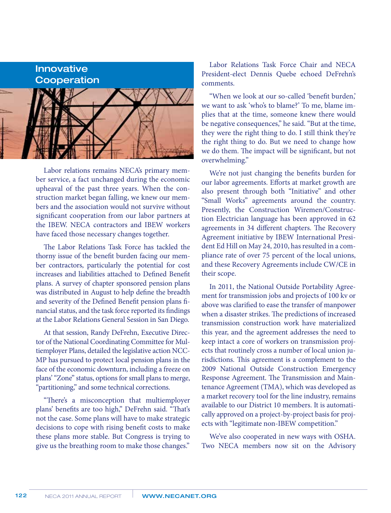## Innovative **Cooperation**



Labor relations remains NECA's primary member service, a fact unchanged during the economic upheaval of the past three years. When the construction market began falling, we knew our members and the association would not survive without significant cooperation from our labor partners at the IBEW. NECA contractors and IBEW workers have faced those necessary changes together.

The Labor Relations Task Force has tackled the thorny issue of the benefit burden facing our member contractors, particularly the potential for cost increases and liabilities attached to Defined Benefit plans. A survey of chapter sponsored pension plans was distributed in August to help define the breadth and severity of the Defined Benefit pension plans financial status, and the task force reported its findings at the Labor Relations General Session in San Diego.

At that session, Randy DeFrehn, Executive Director of the National Coordinating Committee for Multiemployer Plans, detailed the legislative action NCC-MP has pursued to protect local pension plans in the face of the economic downturn, including a freeze on plans' "Zone" status, options for small plans to merge, "partitioning," and some technical corrections.

"There's a misconception that multiemployer plans' benefits are too high," DeFrehn said. "That's not the case. Some plans will have to make strategic decisions to cope with rising benefit costs to make these plans more stable. But Congress is trying to give us the breathing room to make those changes."

Labor Relations Task Force Chair and NECA President-elect Dennis Quebe echoed DeFrehn's comments.

"When we look at our so-called 'benefit burden,' we want to ask 'who's to blame?' To me, blame implies that at the time, someone knew there would be negative consequences," he said. "But at the time, they were the right thing to do. I still think they're the right thing to do. But we need to change how we do them. The impact will be significant, but not overwhelming."

We're not just changing the benefits burden for our labor agreements. Efforts at market growth are also present through both "Initiative" and other "Small Works" agreements around the country. Presently, the Construction Wiremen/Construction Electrician language has been approved in 62 agreements in 34 different chapters. The Recovery Agreement initiative by IBEW International President Ed Hill on May 24, 2010, has resulted in a compliance rate of over 75 percent of the local unions, and these Recovery Agreements include CW/CE in their scope.

In 2011, the National Outside Portability Agreement for transmission jobs and projects of 100 kv or above was clarified to ease the transfer of manpower when a disaster strikes. The predictions of increased transmission construction work have materialized this year, and the agreement addresses the need to keep intact a core of workers on transmission projects that routinely cross a number of local union jurisdictions. This agreement is a complement to the 2009 National Outside Construction Emergency Response Agreement. The Transmission and Maintenance Agreement (TMA), which was developed as a market recovery tool for the line industry, remains available to our District 10 members. It is automatically approved on a project-by-project basis for projects with "legitimate non-IBEW competition."

We've also cooperated in new ways with OSHA. Two NECA members now sit on the Advisory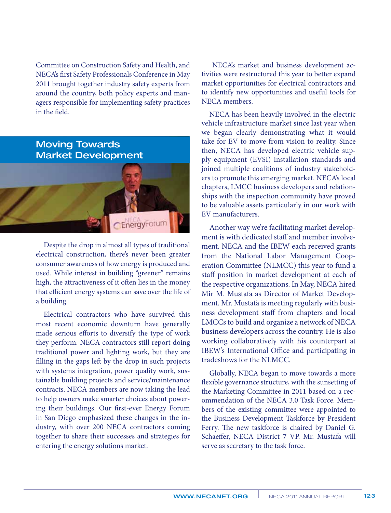Committee on Construction Safety and Health, and NECA's first Safety Professionals Conference in May 2011 brought together industry safety experts from around the country, both policy experts and managers responsible for implementing safety practices in the field.

## Moving Towards Market DevelopmentnerayForu

Despite the drop in almost all types of traditional electrical construction, there's never been greater consumer awareness of how energy is produced and used. While interest in building "greener" remains high, the attractiveness of it often lies in the money that efficient energy systems can save over the life of a building.

Electrical contractors who have survived this most recent economic downturn have generally made serious efforts to diversify the type of work they perform. NECA contractors still report doing traditional power and lighting work, but they are filling in the gaps left by the drop in such projects with systems integration, power quality work, sustainable building projects and service/maintenance contracts. NECA members are now taking the lead to help owners make smarter choices about powering their buildings. Our first-ever Energy Forum in San Diego emphasized these changes in the industry, with over 200 NECA contractors coming together to share their successes and strategies for entering the energy solutions market.

 NECA's market and business development activities were restructured this year to better expand market opportunities for electrical contractors and to identify new opportunities and useful tools for NECA members.

NECA has been heavily involved in the electric vehicle infrastructure market since last year when we began clearly demonstrating what it would take for EV to move from vision to reality. Since then, NECA has developed electric vehicle supply equipment (EVSI) installation standards and joined multiple coalitions of industry stakeholders to promote this emerging market. NECA's local chapters, LMCC business developers and relationships with the inspection community have proved to be valuable assets particularly in our work with EV manufacturers.

Another way we're facilitating market development is with dedicated staff and member involvement. NECA and the IBEW each received grants from the National Labor Management Cooperation Committee (NLMCC) this year to fund a staff position in market development at each of the respective organizations. In May, NECA hired Mir M. Mustafa as Director of Market Development. Mr. Mustafa is meeting regularly with business development staff from chapters and local LMCCs to build and organize a network of NECA business developers across the country. He is also working collaboratively with his counterpart at IBEW's International Office and participating in tradeshows for the NLMCC.

Globally, NECA began to move towards a more flexible governance structure, with the sunsetting of the Marketing Committee in 2011 based on a recommendation of the NECA 3.0 Task Force. Members of the existing committee were appointed to the Business Development Taskforce by President Ferry. The new taskforce is chaired by Daniel G. Schaeffer, NECA District 7 VP. Mr. Mustafa will serve as secretary to the task force.